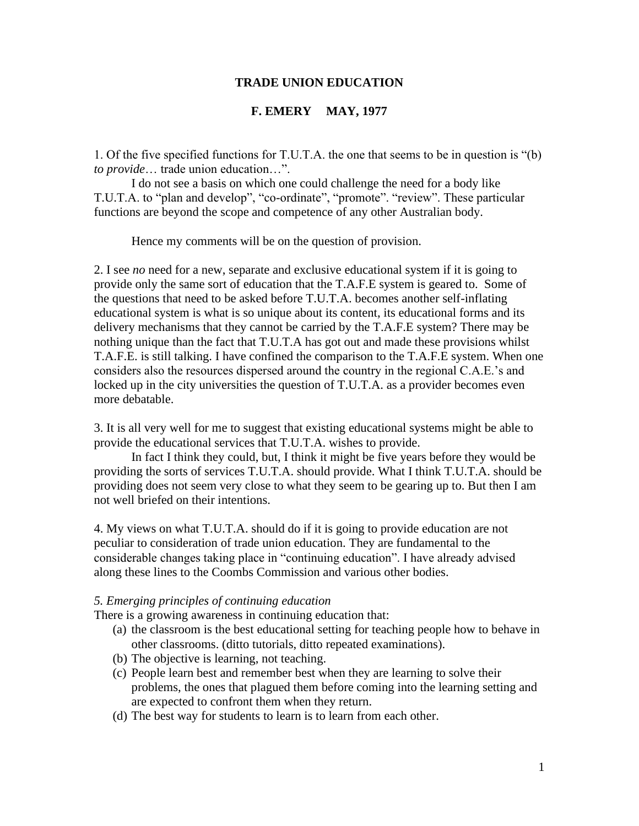# **TRADE UNION EDUCATION**

# **F. EMERY MAY, 1977**

1. Of the five specified functions for T.U.T.A. the one that seems to be in question is "(b) *to provide*… trade union education…".

I do not see a basis on which one could challenge the need for a body like T.U.T.A. to "plan and develop", "co-ordinate", "promote". "review". These particular functions are beyond the scope and competence of any other Australian body.

Hence my comments will be on the question of provision.

2. I see *no* need for a new, separate and exclusive educational system if it is going to provide only the same sort of education that the T.A.F.E system is geared to. Some of the questions that need to be asked before T.U.T.A. becomes another self-inflating educational system is what is so unique about its content, its educational forms and its delivery mechanisms that they cannot be carried by the T.A.F.E system? There may be nothing unique than the fact that T.U.T.A has got out and made these provisions whilst T.A.F.E. is still talking. I have confined the comparison to the T.A.F.E system. When one considers also the resources dispersed around the country in the regional C.A.E.'s and locked up in the city universities the question of T.U.T.A. as a provider becomes even more debatable.

3. It is all very well for me to suggest that existing educational systems might be able to provide the educational services that T.U.T.A. wishes to provide.

In fact I think they could, but, I think it might be five years before they would be providing the sorts of services T.U.T.A. should provide. What I think T.U.T.A. should be providing does not seem very close to what they seem to be gearing up to. But then I am not well briefed on their intentions.

4. My views on what T.U.T.A. should do if it is going to provide education are not peculiar to consideration of trade union education. They are fundamental to the considerable changes taking place in "continuing education". I have already advised along these lines to the Coombs Commission and various other bodies.

#### *5. Emerging principles of continuing education*

There is a growing awareness in continuing education that:

- (a) the classroom is the best educational setting for teaching people how to behave in other classrooms. (ditto tutorials, ditto repeated examinations).
- (b) The objective is learning, not teaching.
- (c) People learn best and remember best when they are learning to solve their problems, the ones that plagued them before coming into the learning setting and are expected to confront them when they return.
- (d) The best way for students to learn is to learn from each other.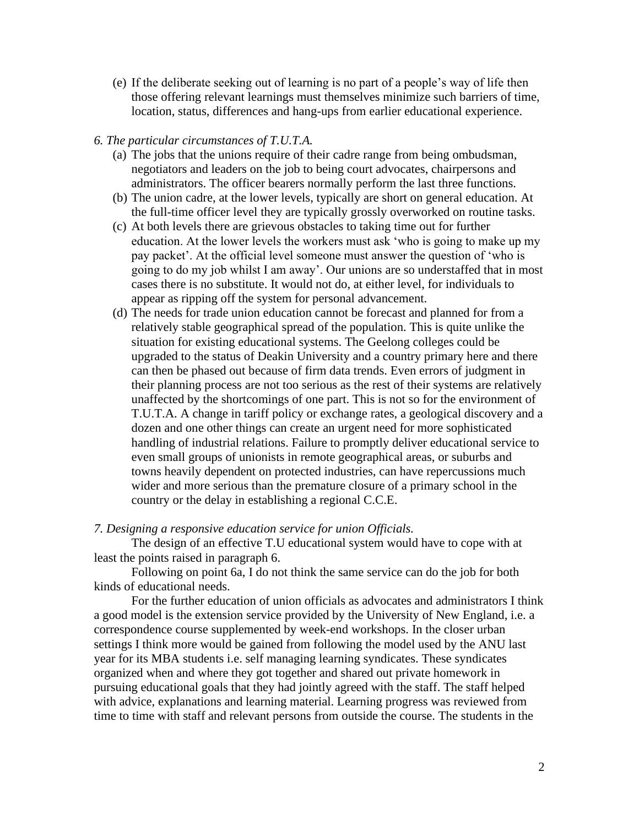- (e) If the deliberate seeking out of learning is no part of a people's way of life then those offering relevant learnings must themselves minimize such barriers of time, location, status, differences and hang-ups from earlier educational experience.
- *6. The particular circumstances of T.U.T.A.*
	- (a) The jobs that the unions require of their cadre range from being ombudsman, negotiators and leaders on the job to being court advocates, chairpersons and administrators. The officer bearers normally perform the last three functions.
	- (b) The union cadre, at the lower levels, typically are short on general education. At the full-time officer level they are typically grossly overworked on routine tasks.
	- (c) At both levels there are grievous obstacles to taking time out for further education. At the lower levels the workers must ask 'who is going to make up my pay packet'. At the official level someone must answer the question of 'who is going to do my job whilst I am away'. Our unions are so understaffed that in most cases there is no substitute. It would not do, at either level, for individuals to appear as ripping off the system for personal advancement.
	- (d) The needs for trade union education cannot be forecast and planned for from a relatively stable geographical spread of the population. This is quite unlike the situation for existing educational systems. The Geelong colleges could be upgraded to the status of Deakin University and a country primary here and there can then be phased out because of firm data trends. Even errors of judgment in their planning process are not too serious as the rest of their systems are relatively unaffected by the shortcomings of one part. This is not so for the environment of T.U.T.A. A change in tariff policy or exchange rates, a geological discovery and a dozen and one other things can create an urgent need for more sophisticated handling of industrial relations. Failure to promptly deliver educational service to even small groups of unionists in remote geographical areas, or suburbs and towns heavily dependent on protected industries, can have repercussions much wider and more serious than the premature closure of a primary school in the country or the delay in establishing a regional C.C.E.

## *7. Designing a responsive education service for union Officials.*

The design of an effective T.U educational system would have to cope with at least the points raised in paragraph 6.

Following on point 6a, I do not think the same service can do the job for both kinds of educational needs.

For the further education of union officials as advocates and administrators I think a good model is the extension service provided by the University of New England, i.e. a correspondence course supplemented by week-end workshops. In the closer urban settings I think more would be gained from following the model used by the ANU last year for its MBA students i.e. self managing learning syndicates. These syndicates organized when and where they got together and shared out private homework in pursuing educational goals that they had jointly agreed with the staff. The staff helped with advice, explanations and learning material. Learning progress was reviewed from time to time with staff and relevant persons from outside the course. The students in the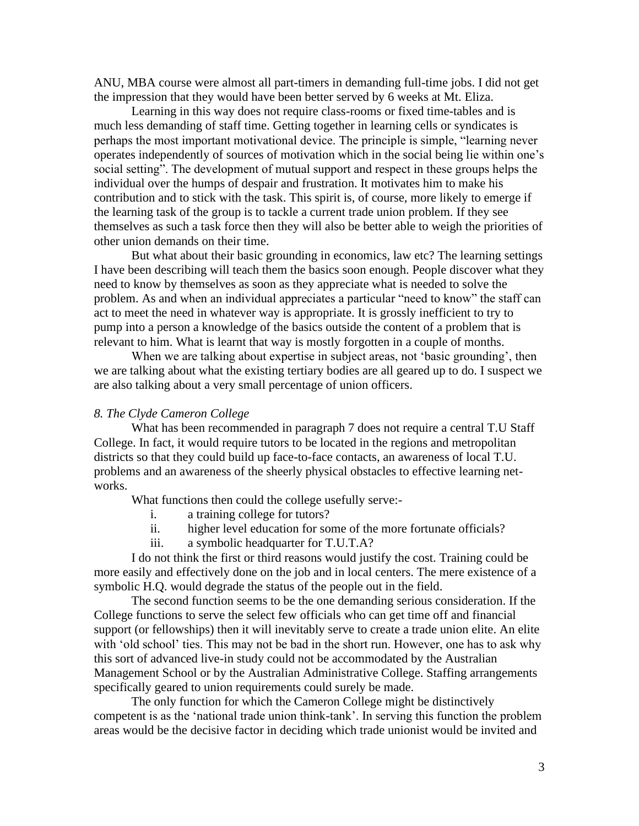ANU, MBA course were almost all part-timers in demanding full-time jobs. I did not get the impression that they would have been better served by 6 weeks at Mt. Eliza.

Learning in this way does not require class-rooms or fixed time-tables and is much less demanding of staff time. Getting together in learning cells or syndicates is perhaps the most important motivational device. The principle is simple, "learning never operates independently of sources of motivation which in the social being lie within one's social setting". The development of mutual support and respect in these groups helps the individual over the humps of despair and frustration. It motivates him to make his contribution and to stick with the task. This spirit is, of course, more likely to emerge if the learning task of the group is to tackle a current trade union problem. If they see themselves as such a task force then they will also be better able to weigh the priorities of other union demands on their time.

But what about their basic grounding in economics, law etc? The learning settings I have been describing will teach them the basics soon enough. People discover what they need to know by themselves as soon as they appreciate what is needed to solve the problem. As and when an individual appreciates a particular "need to know" the staff can act to meet the need in whatever way is appropriate. It is grossly inefficient to try to pump into a person a knowledge of the basics outside the content of a problem that is relevant to him. What is learnt that way is mostly forgotten in a couple of months.

When we are talking about expertise in subject areas, not 'basic grounding', then we are talking about what the existing tertiary bodies are all geared up to do. I suspect we are also talking about a very small percentage of union officers.

## *8. The Clyde Cameron College*

What has been recommended in paragraph 7 does not require a central T.U Staff College. In fact, it would require tutors to be located in the regions and metropolitan districts so that they could build up face-to-face contacts, an awareness of local T.U. problems and an awareness of the sheerly physical obstacles to effective learning networks.

What functions then could the college usefully serve:-

- i. a training college for tutors?
- ii. higher level education for some of the more fortunate officials?
- iii. a symbolic headquarter for T.U.T.A?

I do not think the first or third reasons would justify the cost. Training could be more easily and effectively done on the job and in local centers. The mere existence of a symbolic H.Q. would degrade the status of the people out in the field.

The second function seems to be the one demanding serious consideration. If the College functions to serve the select few officials who can get time off and financial support (or fellowships) then it will inevitably serve to create a trade union elite. An elite with 'old school' ties. This may not be bad in the short run. However, one has to ask why this sort of advanced live-in study could not be accommodated by the Australian Management School or by the Australian Administrative College. Staffing arrangements specifically geared to union requirements could surely be made.

The only function for which the Cameron College might be distinctively competent is as the 'national trade union think-tank'. In serving this function the problem areas would be the decisive factor in deciding which trade unionist would be invited and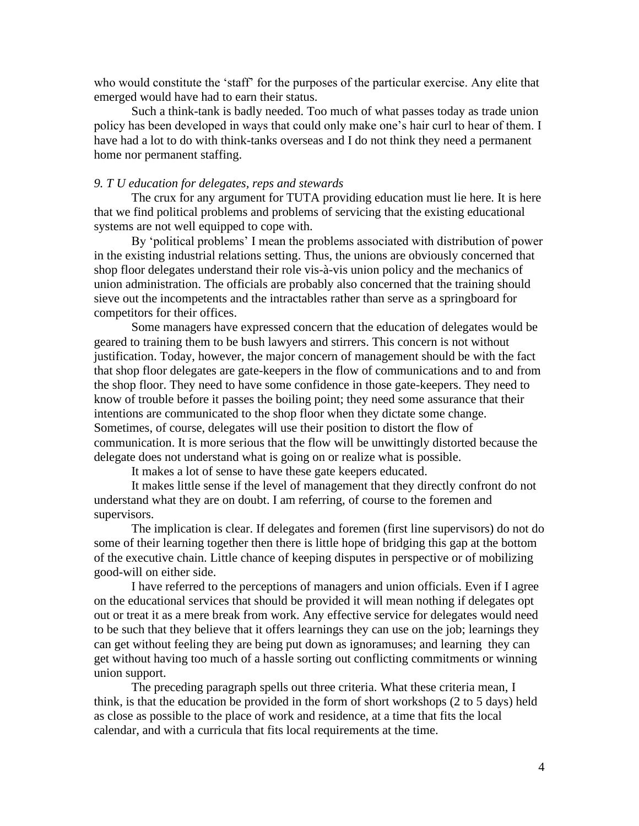who would constitute the 'staff' for the purposes of the particular exercise. Any elite that emerged would have had to earn their status.

Such a think-tank is badly needed. Too much of what passes today as trade union policy has been developed in ways that could only make one's hair curl to hear of them. I have had a lot to do with think-tanks overseas and I do not think they need a permanent home nor permanent staffing.

### *9. T U education for delegates, reps and stewards*

The crux for any argument for TUTA providing education must lie here. It is here that we find political problems and problems of servicing that the existing educational systems are not well equipped to cope with.

By 'political problems' I mean the problems associated with distribution of power in the existing industrial relations setting. Thus, the unions are obviously concerned that shop floor delegates understand their role vis-à-vis union policy and the mechanics of union administration. The officials are probably also concerned that the training should sieve out the incompetents and the intractables rather than serve as a springboard for competitors for their offices.

Some managers have expressed concern that the education of delegates would be geared to training them to be bush lawyers and stirrers. This concern is not without justification. Today, however, the major concern of management should be with the fact that shop floor delegates are gate-keepers in the flow of communications and to and from the shop floor. They need to have some confidence in those gate-keepers. They need to know of trouble before it passes the boiling point; they need some assurance that their intentions are communicated to the shop floor when they dictate some change. Sometimes, of course, delegates will use their position to distort the flow of communication. It is more serious that the flow will be unwittingly distorted because the delegate does not understand what is going on or realize what is possible.

It makes a lot of sense to have these gate keepers educated.

It makes little sense if the level of management that they directly confront do not understand what they are on doubt. I am referring, of course to the foremen and supervisors.

The implication is clear. If delegates and foremen (first line supervisors) do not do some of their learning together then there is little hope of bridging this gap at the bottom of the executive chain. Little chance of keeping disputes in perspective or of mobilizing good-will on either side.

I have referred to the perceptions of managers and union officials. Even if I agree on the educational services that should be provided it will mean nothing if delegates opt out or treat it as a mere break from work. Any effective service for delegates would need to be such that they believe that it offers learnings they can use on the job; learnings they can get without feeling they are being put down as ignoramuses; and learning they can get without having too much of a hassle sorting out conflicting commitments or winning union support.

The preceding paragraph spells out three criteria. What these criteria mean, I think, is that the education be provided in the form of short workshops (2 to 5 days) held as close as possible to the place of work and residence, at a time that fits the local calendar, and with a curricula that fits local requirements at the time.